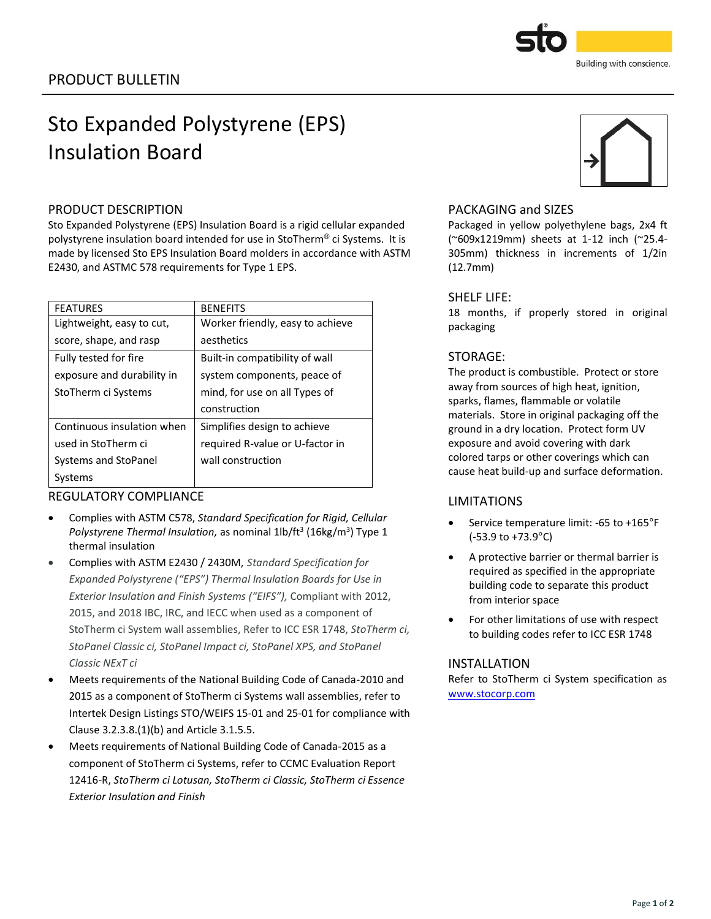# Sto Expanded Polystyrene (EPS) Insulation Board

# PRODUCT DESCRIPTION

Sto Expanded Polystyrene (EPS) Insulation Board is a rigid cellular expanded polystyrene insulation board intended for use in StoTherm® ci Systems. It is made by licensed Sto EPS Insulation Board molders in accordance with ASTM E2430, and ASTMC 578 requirements for Type 1 EPS.

| <b>FEATURES</b>            | <b>BENEFITS</b>                  |
|----------------------------|----------------------------------|
| Lightweight, easy to cut,  | Worker friendly, easy to achieve |
| score, shape, and rasp     | aesthetics                       |
| Fully tested for fire      | Built-in compatibility of wall   |
| exposure and durability in | system components, peace of      |
| StoTherm ci Systems        | mind, for use on all Types of    |
|                            | construction                     |
| Continuous insulation when | Simplifies design to achieve     |
| used in StoTherm ci        | required R-value or U-factor in  |
| Systems and StoPanel       | wall construction                |
| Systems                    |                                  |

# REGULATORY COMPLIANCE

- Complies with ASTM C578, *Standard Specification for Rigid, Cellular*  Polystyrene Thermal Insulation, as nominal 1lb/ft<sup>3</sup> (16kg/m<sup>3</sup>) Type 1 thermal insulation
- Complies with ASTM E2430 / 2430M, *Standard Specification for Expanded Polystyrene ("EPS") Thermal Insulation Boards for Use in Exterior Insulation and Finish Systems ("EIFS"),* Compliant with 2012, 2015, and 2018 IBC, IRC, and IECC when used as a component of StoTherm ci System wall assemblies, Refer to ICC ESR 1748, *StoTherm ci, StoPanel Classic ci, StoPanel Impact ci, StoPanel XPS, and StoPanel Classic NExT ci*
- Meets requirements of the National Building Code of Canada-2010 and 2015 as a component of StoTherm ci Systems wall assemblies, refer to Intertek Design Listings STO/WEIFS 15-01 and 25-01 for compliance with Clause 3.2.3.8.(1)(b) and Article 3.1.5.5.
- Meets requirements of National Building Code of Canada-2015 as a component of StoTherm ci Systems, refer to CCMC Evaluation Report 12416-R, *StoTherm ci Lotusan, StoTherm ci Classic, StoTherm ci Essence Exterior Insulation and Finish*

## PACKAGING and SIZES

Packaged in yellow polyethylene bags, 2x4 ft (~609x1219mm) sheets at 1-12 inch (~25.4- 305mm) thickness in increments of 1/2in (12.7mm)

### SHELF LIFE:

18 months, if properly stored in original packaging

# STORAGE:

The product is combustible. Protect or store away from sources of high heat, ignition, sparks, flames, flammable or volatile materials. Store in original packaging off the ground in a dry location. Protect form UV exposure and avoid covering with dark colored tarps or other coverings which can cause heat build-up and surface deformation.

# LIMITATIONS

- Service temperature limit: -65 to +165°F (-53.9 to +73.9°C)
- A protective barrier or thermal barrier is required as specified in the appropriate building code to separate this product from interior space
- For other limitations of use with respect to building codes refer to ICC ESR 1748

# INSTALLATION

Refer to StoTherm ci System specification as [www.stocorp.com](file:///C:/Users/tremmele/AppData/Local/Microsoft/Windows/INetCache/Content.Outlook/E6SHCARA/www.stocorp.com)